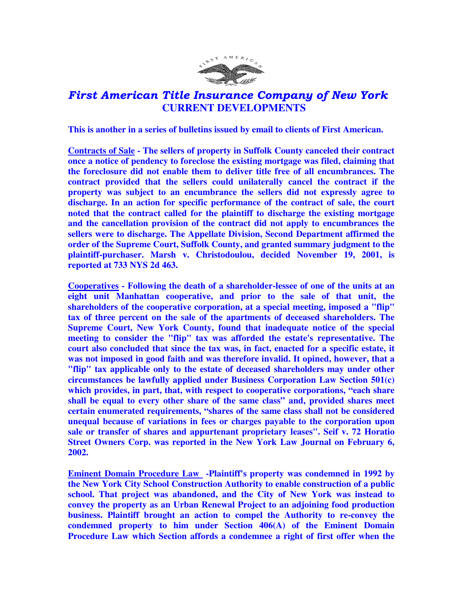

## First American Title Insurance Company of New York  **CURRENT DEVELOPMENTS**

**This is another in a series of bulletins issued by email to clients of First American.** 

**Contracts of Sale - The sellers of property in Suffolk County canceled their contract once a notice of pendency to foreclose the existing mortgage was filed, claiming that the foreclosure did not enable them to deliver title free of all encumbrances. The contract provided that the sellers could unilaterally cancel the contract if the property was subject to an encumbrance the sellers did not expressly agree to discharge. In an action for specific performance of the contract of sale, the court noted that the contract called for the plaintiff to discharge the existing mortgage and the cancellation provision of the contract did not apply to encumbrances the sellers were to discharge. The Appellate Division, Second Department affirmed the order of the Supreme Court, Suffolk County, and granted summary judgment to the plaintiff-purchaser. Marsh v. Christodoulou, decided November 19, 2001, is reported at 733 NYS 2d 463.** 

**Cooperatives - Following the death of a shareholder-lessee of one of the units at an eight unit Manhattan cooperative, and prior to the sale of that unit, the shareholders of the cooperative corporation, at a special meeting, imposed a "flip" tax of three percent on the sale of the apartments of deceased shareholders. The Supreme Court, New York County, found that inadequate notice of the special meeting to consider the "flip" tax was afforded the estate's representative. The court also concluded that since the tax was, in fact, enacted for a specific estate, it was not imposed in good faith and was therefore invalid. It opined, however, that a "flip" tax applicable only to the estate of deceased shareholders may under other circumstances be lawfully applied under Business Corporation Law Section 501(c) which provides, in part, that, with respect to cooperative corporations, "each share shall be equal to every other share of the same class" and, provided shares meet certain enumerated requirements, "shares of the same class shall not be considered unequal because of variations in fees or charges payable to the corporation upon sale or transfer of shares and appurtenant proprietary leases". Seif v. 72 Horatio Street Owners Corp. was reported in the New York Law Journal on February 6, 2002.** 

**Eminent Domain Procedure Law -Plaintiff's property was condemned in 1992 by the New York City School Construction Authority to enable construction of a public school. That project was abandoned, and the City of New York was instead to convey the property as an Urban Renewal Project to an adjoining food production business. Plaintiff brought an action to compel the Authority to re-convey the condemned property to him under Section 406(A) of the Eminent Domain Procedure Law which Section affords a condemnee a right of first offer when the**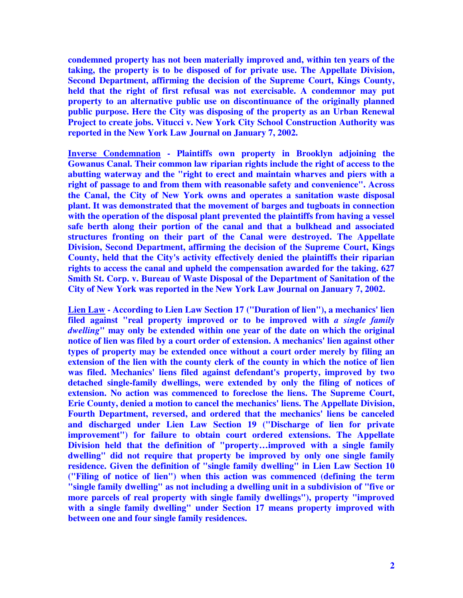**condemned property has not been materially improved and, within ten years of the taking, the property is to be disposed of for private use. The Appellate Division, Second Department, affirming the decision of the Supreme Court, Kings County, held that the right of first refusal was not exercisable. A condemnor may put property to an alternative public use on discontinuance of the originally planned public purpose. Here the City was disposing of the property as an Urban Renewal Project to create jobs. Vitucci v. New York City School Construction Authority was reported in the New York Law Journal on January 7, 2002.** 

**Inverse Condemnation - Plaintiffs own property in Brooklyn adjoining the Gowanus Canal. Their common law riparian rights include the right of access to the abutting waterway and the "right to erect and maintain wharves and piers with a right of passage to and from them with reasonable safety and convenience". Across the Canal, the City of New York owns and operates a sanitation waste disposal plant. It was demonstrated that the movement of barges and tugboats in connection with the operation of the disposal plant prevented the plaintiffs from having a vessel safe berth along their portion of the canal and that a bulkhead and associated structures fronting on their part of the Canal were destroyed. The Appellate Division, Second Department, affirming the decision of the Supreme Court, Kings County, held that the City's activity effectively denied the plaintiffs their riparian rights to access the canal and upheld the compensation awarded for the taking. 627 Smith St. Corp. v. Bureau of Waste Disposal of the Department of Sanitation of the City of New York was reported in the New York Law Journal on January 7, 2002.** 

**Lien Law - According to Lien Law Section 17 ("Duration of lien"), a mechanics' lien filed against "real property improved or to be improved with** *a single family dwelling***" may only be extended within one year of the date on which the original notice of lien was filed by a court order of extension. A mechanics' lien against other types of property may be extended once without a court order merely by filing an extension of the lien with the county clerk of the county in which the notice of lien was filed. Mechanics' liens filed against defendant's property, improved by two detached single-family dwellings, were extended by only the filing of notices of extension. No action was commenced to foreclose the liens. The Supreme Court, Erie County, denied a motion to cancel the mechanics' liens. The Appellate Division, Fourth Department, reversed, and ordered that the mechanics' liens be canceled and discharged under Lien Law Section 19 ("Discharge of lien for private improvement") for failure to obtain court ordered extensions. The Appellate Division held that the definition of "property…improved with a single family dwelling" did not require that property be improved by only one single family residence. Given the definition of "single family dwelling" in Lien Law Section 10 ("Filing of notice of lien") when this action was commenced (defining the term "single family dwelling" as not including a dwelling unit in a subdivision of "five or more parcels of real property with single family dwellings"), property "improved with a single family dwelling" under Section 17 means property improved with between one and four single family residences.**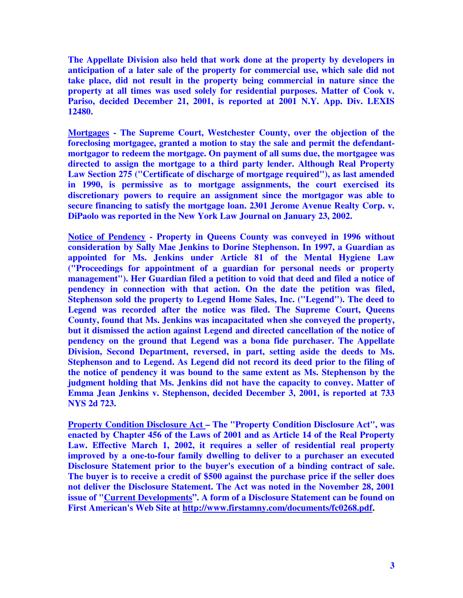**The Appellate Division also held that work done at the property by developers in anticipation of a later sale of the property for commercial use, which sale did not take place, did not result in the property being commercial in nature since the property at all times was used solely for residential purposes. Matter of Cook v. Pariso, decided December 21, 2001, is reported at 2001 N.Y. App. Div. LEXIS 12480.** 

**Mortgages - The Supreme Court, Westchester County, over the objection of the foreclosing mortgagee, granted a motion to stay the sale and permit the defendantmortgagor to redeem the mortgage. On payment of all sums due, the mortgagee was directed to assign the mortgage to a third party lender. Although Real Property Law Section 275 ("Certificate of discharge of mortgage required"), as last amended in 1990, is permissive as to mortgage assignments, the court exercised its discretionary powers to require an assignment since the mortgagor was able to secure financing to satisfy the mortgage loan. 2301 Jerome Avenue Realty Corp. v. DiPaolo was reported in the New York Law Journal on January 23, 2002.** 

**Notice of Pendency - Property in Queens County was conveyed in 1996 without consideration by Sally Mae Jenkins to Dorine Stephenson. In 1997, a Guardian as appointed for Ms. Jenkins under Article 81 of the Mental Hygiene Law ("Proceedings for appointment of a guardian for personal needs or property management"). Her Guardian filed a petition to void that deed and filed a notice of pendency in connection with that action. On the date the petition was filed, Stephenson sold the property to Legend Home Sales, Inc. ("Legend"). The deed to Legend was recorded after the notice was filed. The Supreme Court, Queens County, found that Ms. Jenkins was incapacitated when she conveyed the property, but it dismissed the action against Legend and directed cancellation of the notice of pendency on the ground that Legend was a bona fide purchaser. The Appellate Division, Second Department, reversed, in part, setting aside the deeds to Ms. Stephenson and to Legend. As Legend did not record its deed prior to the filing of the notice of pendency it was bound to the same extent as Ms. Stephenson by the judgment holding that Ms. Jenkins did not have the capacity to convey. Matter of Emma Jean Jenkins v. Stephenson, decided December 3, 2001, is reported at 733 NYS 2d 723.** 

**Property Condition Disclosure Act – The "Property Condition Disclosure Act", was enacted by Chapter 456 of the Laws of 2001 and as Article 14 of the Real Property Law. Effective March 1, 2002, it requires a seller of residential real property improved by a one-to-four family dwelling to deliver to a purchaser an executed Disclosure Statement prior to the buyer's execution of a binding contract of sale. The buyer is to receive a credit of \$500 against the purchase price if the seller does not deliver the Disclosure Statement. The Act was noted in the November 28, 2001 issue of "Current Developments". A form of a Disclosure Statement can be found on First American's Web Site at http://www.firstamny.com/documents/fc0268.pdf.**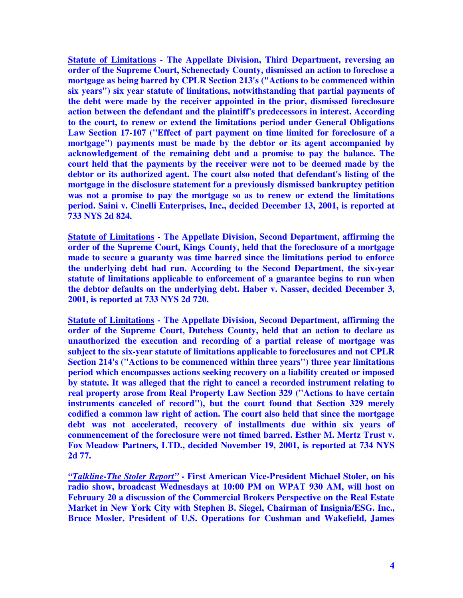**Statute of Limitations - The Appellate Division, Third Department, reversing an order of the Supreme Court, Schenectady County, dismissed an action to foreclose a mortgage as being barred by CPLR Section 213's ("Actions to be commenced within six years") six year statute of limitations, notwithstanding that partial payments of the debt were made by the receiver appointed in the prior, dismissed foreclosure action between the defendant and the plaintiff's predecessors in interest. According to the court, to renew or extend the limitations period under General Obligations Law Section 17-107 ("Effect of part payment on time limited for foreclosure of a mortgage") payments must be made by the debtor or its agent accompanied by acknowledgement of the remaining debt and a promise to pay the balance. The court held that the payments by the receiver were not to be deemed made by the debtor or its authorized agent. The court also noted that defendant's listing of the mortgage in the disclosure statement for a previously dismissed bankruptcy petition was not a promise to pay the mortgage so as to renew or extend the limitations period. Saini v. Cinelli Enterprises, Inc., decided December 13, 2001, is reported at 733 NYS 2d 824.** 

**Statute of Limitations - The Appellate Division, Second Department, affirming the order of the Supreme Court, Kings County, held that the foreclosure of a mortgage made to secure a guaranty was time barred since the limitations period to enforce the underlying debt had run. According to the Second Department, the six-year statute of limitations applicable to enforcement of a guarantee begins to run when the debtor defaults on the underlying debt. Haber v. Nasser, decided December 3, 2001, is reported at 733 NYS 2d 720.** 

**Statute of Limitations - The Appellate Division, Second Department, affirming the order of the Supreme Court, Dutchess County, held that an action to declare as unauthorized the execution and recording of a partial release of mortgage was subject to the six-year statute of limitations applicable to foreclosures and not CPLR Section 214's ("Actions to be commenced within three years") three year limitations period which encompasses actions seeking recovery on a liability created or imposed by statute. It was alleged that the right to cancel a recorded instrument relating to real property arose from Real Property Law Section 329 ("Actions to have certain instruments canceled of record"), but the court found that Section 329 merely codified a common law right of action. The court also held that since the mortgage debt was not accelerated, recovery of installments due within six years of commencement of the foreclosure were not timed barred. Esther M. Mertz Trust v. Fox Meadow Partners, LTD., decided November 19, 2001, is reported at 734 NYS 2d 77.** 

*"Talkline-The Stoler Report"* **- First American Vice-President Michael Stoler, on his radio show, broadcast Wednesdays at 10:00 PM on WPAT 930 AM, will host on February 20 a discussion of the Commercial Brokers Perspective on the Real Estate Market in New York City with Stephen B. Siegel, Chairman of Insignia/ESG. Inc., Bruce Mosler, President of U.S. Operations for Cushman and Wakefield, James**